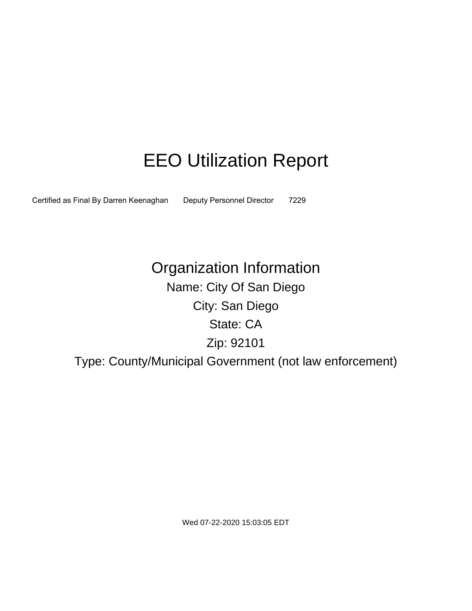# EEO Utilization Report

Certified as Final By Darren Keenaghan Deputy Personnel Director 7229

Organization Information Name: City Of San Diego City: San Diego State: CA Zip: 92101 Type: County/Municipal Government (not law enforcement)

Wed 07-22-2020 15:03:05 EDT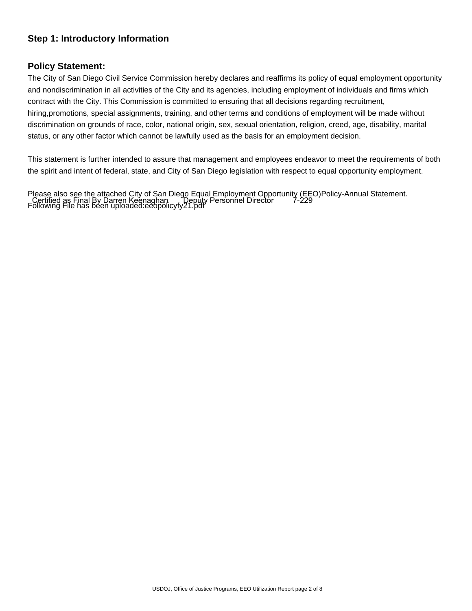# **Step 1: Introductory Information**

#### **Policy Statement:**

The City of San Diego Civil Service Commission hereby declares and reaffirms its policy of equal employment opportunity and nondiscrimination in all activities of the City and its agencies, including employment of individuals and firms which contract with the City. This Commission is committed to ensuring that all decisions regarding recruitment, hiring,promotions, special assignments, training, and other terms and conditions of employment will be made without discrimination on grounds of race, color, national origin, sex, sexual orientation, religion, creed, age, disability, marital status, or any other factor which cannot be lawfully used as the basis for an employment decision.

This statement is further intended to assure that management and employees endeavor to meet the requirements of both the spirit and intent of federal, state, and City of San Diego legislation with respect to equal opportunity employment.

Please also see the attached City of San Diego Equal Employment Opportunity (EEO)Policy-Annual Statement. \_Certified as Final By Darren Keénaghan Deputy Personnel Director 7-229<br>Following File has been uploaded:eeopolicyfy21.pdf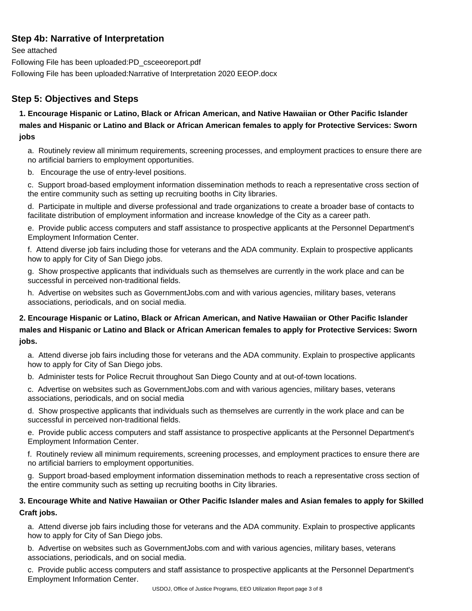## **Step 4b: Narrative of Interpretation**

See attached Following File has been uploaded:PD\_csceeoreport.pdf Following File has been uploaded:Narrative of Interpretation 2020 EEOP.docx

# **Step 5: Objectives and Steps**

**1. Encourage Hispanic or Latino, Black or African American, and Native Hawaiian or Other Pacific Islander males and Hispanic or Latino and Black or African American females to apply for Protective Services: Sworn jobs**

a. Routinely review all minimum requirements, screening processes, and employment practices to ensure there are no artificial barriers to employment opportunities.

b. Encourage the use of entry-level positions.

c. Support broad-based employment information dissemination methods to reach a representative cross section of the entire community such as setting up recruiting booths in City libraries.

d. Participate in multiple and diverse professional and trade organizations to create a broader base of contacts to facilitate distribution of employment information and increase knowledge of the City as a career path.

e. Provide public access computers and staff assistance to prospective applicants at the Personnel Department's Employment Information Center.

f. Attend diverse job fairs including those for veterans and the ADA community. Explain to prospective applicants how to apply for City of San Diego jobs.

g. Show prospective applicants that individuals such as themselves are currently in the work place and can be successful in perceived non-traditional fields.

h. Advertise on websites such as GovernmentJobs.com and with various agencies, military bases, veterans associations, periodicals, and on social media.

## **2. Encourage Hispanic or Latino, Black or African American, and Native Hawaiian or Other Pacific Islander males and Hispanic or Latino and Black or African American females to apply for Protective Services: Sworn jobs.**

a. Attend diverse job fairs including those for veterans and the ADA community. Explain to prospective applicants how to apply for City of San Diego jobs.

b. Administer tests for Police Recruit throughout San Diego County and at out-of-town locations.

c. Advertise on websites such as GovernmentJobs.com and with various agencies, military bases, veterans associations, periodicals, and on social media

d. Show prospective applicants that individuals such as themselves are currently in the work place and can be successful in perceived non-traditional fields.

e. Provide public access computers and staff assistance to prospective applicants at the Personnel Department's Employment Information Center.

f. Routinely review all minimum requirements, screening processes, and employment practices to ensure there are no artificial barriers to employment opportunities.

g. Support broad-based employment information dissemination methods to reach a representative cross section of the entire community such as setting up recruiting booths in City libraries.

#### **3. Encourage White and Native Hawaiian or Other Pacific Islander males and Asian females to apply for Skilled Craft jobs.**

a. Attend diverse job fairs including those for veterans and the ADA community. Explain to prospective applicants how to apply for City of San Diego jobs.

b. Advertise on websites such as GovernmentJobs.com and with various agencies, military bases, veterans associations, periodicals, and on social media.

c. Provide public access computers and staff assistance to prospective applicants at the Personnel Department's Employment Information Center.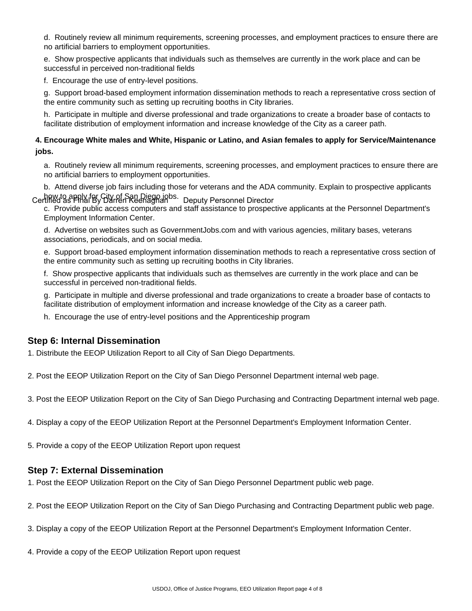d. Routinely review all minimum requirements, screening processes, and employment practices to ensure there are no artificial barriers to employment opportunities.

e. Show prospective applicants that individuals such as themselves are currently in the work place and can be successful in perceived non-traditional fields

f. Encourage the use of entry-level positions.

g. Support broad-based employment information dissemination methods to reach a representative cross section of the entire community such as setting up recruiting booths in City libraries.

h. Participate in multiple and diverse professional and trade organizations to create a broader base of contacts to facilitate distribution of employment information and increase knowledge of the City as a career path.

#### **4. Encourage White males and White, Hispanic or Latino, and Asian females to apply for Service/Maintenance jobs.**

a. Routinely review all minimum requirements, screening processes, and employment practices to ensure there are no artificial barriers to employment opportunities.

b. Attend diverse job fairs including those for veterans and the ADA community. Explain to prospective applicants Certified as Philaif By City of San Diego jobs. Deputy Personnel Director

c. Provide public access computers and staff assistance to prospective applicants at the Personnel Department's Employment Information Center.

d. Advertise on websites such as GovernmentJobs.com and with various agencies, military bases, veterans associations, periodicals, and on social media.

e. Support broad-based employment information dissemination methods to reach a representative cross section of the entire community such as setting up recruiting booths in City libraries.

f. Show prospective applicants that individuals such as themselves are currently in the work place and can be successful in perceived non-traditional fields.

g. Participate in multiple and diverse professional and trade organizations to create a broader base of contacts to facilitate distribution of employment information and increase knowledge of the City as a career path.

h. Encourage the use of entry-level positions and the Apprenticeship program

#### **Step 6: Internal Dissemination**

1. Distribute the EEOP Utilization Report to all City of San Diego Departments.

2. Post the EEOP Utilization Report on the City of San Diego Personnel Department internal web page.

3. Post the EEOP Utilization Report on the City of San Diego Purchasing and Contracting Department internal web page.

4. Display a copy of the EEOP Utilization Report at the Personnel Department's Employment Information Center.

5. Provide a copy of the EEOP Utilization Report upon request

#### **Step 7: External Dissemination**

1. Post the EEOP Utilization Report on the City of San Diego Personnel Department public web page.

2. Post the EEOP Utilization Report on the City of San Diego Purchasing and Contracting Department public web page.

3. Display a copy of the EEOP Utilization Report at the Personnel Department's Employment Information Center.

4. Provide a copy of the EEOP Utilization Report upon request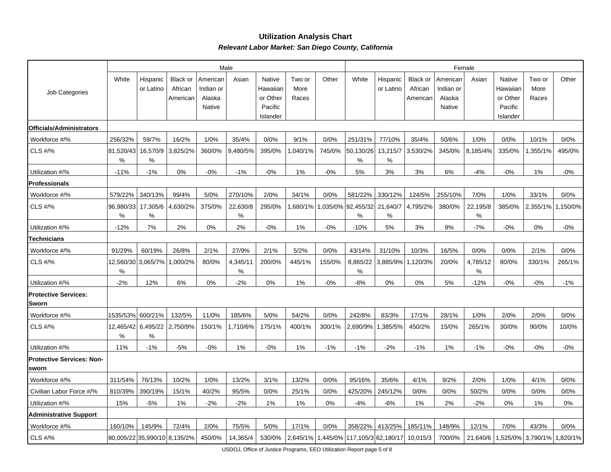#### **Utilization Analysis ChartRelevant Labor Market: San Diego County, California**

|                                           | Male           |                       |                                        |                                           |               |                                                       |                         | Female |                                                |                       |                                 |                                           |               |                                                       |                         |          |
|-------------------------------------------|----------------|-----------------------|----------------------------------------|-------------------------------------------|---------------|-------------------------------------------------------|-------------------------|--------|------------------------------------------------|-----------------------|---------------------------------|-------------------------------------------|---------------|-------------------------------------------------------|-------------------------|----------|
| Job Categories                            | White          | Hispanic<br>or Latino | <b>Black or</b><br>African<br>American | American<br>Indian or<br>Alaska<br>Native | Asian         | Native<br>Hawaiian<br>or Other<br>Pacific<br>Islander | Two or<br>More<br>Races | Other  | White                                          | Hispanic<br>or Latino | Black or<br>African<br>American | American<br>Indian or<br>Alaska<br>Native | Asian         | Native<br>Hawaiian<br>or Other<br>Pacific<br>Islander | Two or<br>More<br>Races | Other    |
| Officials/Administrators                  |                |                       |                                        |                                           |               |                                                       |                         |        |                                                |                       |                                 |                                           |               |                                                       |                         |          |
| Workforce #/%                             | 256/32%        | 59/7%                 | 16/2%                                  | 1/0%                                      | 35/4%         | 0/0%                                                  | 9/1%                    | 0/0%   | 251/31%                                        | 77/10%                | 35/4%                           | 50/6%                                     | 1/0%          | 0/0%                                                  | 10/1%                   | 0/0%     |
| CLS #/%                                   | 81,520/43<br>℅ | 16,570/9<br>%         | 3,825/2%                               | 360/0%                                    | 9,480/5%      | 395/0%                                                | ,040/1%                 | 745/0% | 50,130/26<br>%                                 | 13,215/7<br>%         | 3,530/2%                        | 345/0%                                    | 8,185/4%      | 335/0%                                                | .355/1%                 | 495/0%   |
| Utilization #/%                           | $-11%$         | $-1%$                 | 0%                                     | $-0%$                                     | $-1%$         | $-0%$                                                 | 1%                      | $-0%$  | 5%                                             | 3%                    | 3%                              | 6%                                        | $-4%$         | $-0%$                                                 | 1%                      | $-0%$    |
| <b>Professionals</b>                      |                |                       |                                        |                                           |               |                                                       |                         |        |                                                |                       |                                 |                                           |               |                                                       |                         |          |
| Workforce #/%                             | 579/22%        | 340/13%               | 99/4%                                  | 5/0%                                      | 270/10%       | 2/0%                                                  | 34/1%                   | 0/0%   | 581/22%                                        | 330/12%               | 124/5%                          | 255/10%                                   | 7/0%          | 1/0%                                                  | 33/1%                   | 0/0%     |
| CLS #/%                                   | 96,980/33<br>℅ | 17,305/6<br>℅         | 4,630/2%                               | 375/0%                                    | 22,630/8<br>% | 295/0%                                                | .680/1%                 |        | 1,035/0% 92,455/32 21,640/7<br>%               | ℅                     | 4,795/2%                        | 380/0%                                    | 22,195/8<br>% | 385/0%                                                | 2,355/1%                | 1,150/0% |
| Utilization #/%                           | $-12%$         | 7%                    | 2%                                     | 0%                                        | 2%            | $-0%$                                                 | 1%                      | $-0%$  | $-10%$                                         | 5%                    | 3%                              | 9%                                        | $-7%$         | $-0%$                                                 | 0%                      | $-0\%$   |
| Technicians                               |                |                       |                                        |                                           |               |                                                       |                         |        |                                                |                       |                                 |                                           |               |                                                       |                         |          |
| Workforce #/%                             | 91/29%         | 60/19%                | 26/8%                                  | 2/1%                                      | 27/9%         | 2/1%                                                  | 5/2%                    | 0/0%   | 43/14%                                         | 31/10%                | 10/3%                           | 16/5%                                     | 0/0%          | 0/0%                                                  | 2/1%                    | 0/0%     |
| CLS #/%                                   | 12,560/30<br>% | 3,065/7%              | 1,000/2%                               | 80/0%                                     | 4,345/11<br>% | 200/0%                                                | 445/1%                  | 155/0% | 8,865/22<br>%                                  |                       | 3,885/9% 1,120/3%               | 20/0%                                     | 4,785/12<br>% | 80/0%                                                 | 330/1%                  | 265/1%   |
| Utilization #/%                           | $-2%$          | 12%                   | 6%                                     | 0%                                        | $-2%$         | 0%                                                    | 1%                      | $-0%$  | $-8%$                                          | 0%                    | 0%                              | 5%                                        | $-12%$        | $-0%$                                                 | $-0%$                   | -1%      |
| <b>Protective Services:</b><br>Sworn      |                |                       |                                        |                                           |               |                                                       |                         |        |                                                |                       |                                 |                                           |               |                                                       |                         |          |
| Workforce #/%                             | 1535/53%       | 600/21%               | 132/5%                                 | 11/0%                                     | 185/6%        | 5/0%                                                  | 54/2%                   | 0/0%   | 242/8%                                         | 83/3%                 | 17/1%                           | 28/1%                                     | 1/0%          | 2/0%                                                  | 2/0%                    | 0/0%     |
| CLS #/%                                   | 12,465/42<br>℅ | 6,495/22<br>%         | 2,750/9%                               | 150/1%                                    | 1,710/6%      | 175/1%                                                | 400/1%                  | 300/1% | 2,690/9%                                       | .385/5%               | 450/2%                          | 15/0%                                     | 265/1%        | 30/0%                                                 | 90/0%                   | 10/0%    |
| Utilization #/%                           | 11%            | $-1%$                 | $-5%$                                  | $-0%$                                     | 1%            | $-0%$                                                 | 1%                      | $-1%$  | $-1%$                                          | $-2%$                 | $-1%$                           | 1%                                        | $-1%$         | $-0%$                                                 | $-0%$                   | $-0%$    |
| <b>Protective Services: Non-</b><br>sworn |                |                       |                                        |                                           |               |                                                       |                         |        |                                                |                       |                                 |                                           |               |                                                       |                         |          |
| Workforce #/%                             | 311/54%        | 76/13%                | 10/2%                                  | 1/0%                                      | 13/2%         | 3/1%                                                  | 13/2%                   | 0/0%   | 95/16%                                         | 35/6%                 | 4/1%                            | 9/2%                                      | 2/0%          | 1/0%                                                  | 4/1%                    | 0/0%     |
| Civilian Labor Force #/%                  | 810/39%        | 390/19%               | 15/1%                                  | 40/2%                                     | 95/5%         | 0/0%                                                  | 25/1%                   | 0/0%   | 425/20%                                        | 245/12%               | 0/0%                            | 0/0%                                      | 50/2%         | 0/0%                                                  | 0/0%                    | 0/0%     |
| Utilization #/%                           | 15%            | $-5%$                 | 1%                                     | $-2%$                                     | $-2%$         | 1%                                                    | 1%                      | 0%     | $-4%$                                          | $-6%$                 | 1%                              | 2%                                        | $-2%$         | 0%                                                    | 1%                      | 0%       |
| <b>Administrative Support</b>             |                |                       |                                        |                                           |               |                                                       |                         |        |                                                |                       |                                 |                                           |               |                                                       |                         |          |
| Workforce #/%                             | 160/10%        | 145/9%                | 72/4%                                  | 2/0%                                      | 75/5%         | 5/0%                                                  | 17/1%                   | 0/0%   | 358/22%                                        | 413/25%               | 185/11%                         | 148/9%                                    | 12/1%         | 7/0%                                                  | 43/3%                   | 0/0%     |
| CLS #/%                                   |                |                       | 80,005/22 35,990/10 8,135/2%           | 450/0%                                    | 14,365/4      | 530/0%                                                |                         |        | 2,645/1% 1,445/0% 117,105/3 62,180/17 10,015/3 |                       |                                 | 700/0%                                    | 21,640/6      | 1,525/0%                                              | 3,790/1%                | 1,820/1% |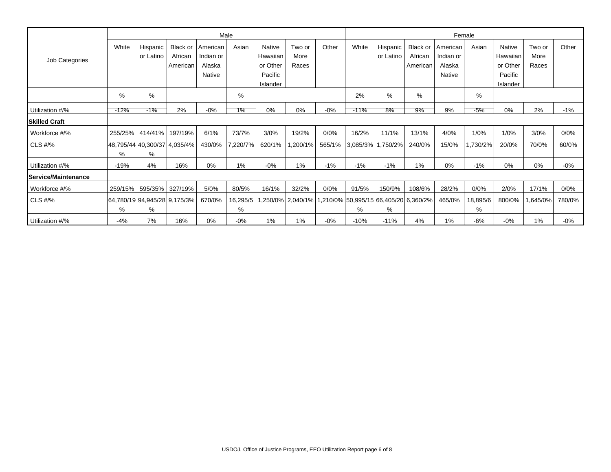|                      | Male    |                                    |                     |                       |               |                     |                |        | Female                                                                                                     |                       |                            |                       |               |                     |                |        |  |  |
|----------------------|---------|------------------------------------|---------------------|-----------------------|---------------|---------------------|----------------|--------|------------------------------------------------------------------------------------------------------------|-----------------------|----------------------------|-----------------------|---------------|---------------------|----------------|--------|--|--|
|                      | White   | Hispanic<br>or Latino              | Black or<br>African | American<br>Indian or | Asian         | Native<br>Hawaiian  | Two or<br>More | Other  | White                                                                                                      | Hispanic<br>or Latino | <b>Black or</b><br>African | American<br>Indian or | Asian         | Native<br>Hawaiian  | Two or<br>More | Other  |  |  |
| Job Categories       |         |                                    | American            | Alaska                |               | or Other            | Races          |        |                                                                                                            |                       | American                   | Alaska                |               | or Other            | Races          |        |  |  |
|                      |         |                                    |                     | Native                |               | Pacific<br>Islander |                |        |                                                                                                            |                       |                            | Native                |               | Pacific<br>Islander |                |        |  |  |
|                      | %       | %                                  |                     |                       | $\%$          |                     |                |        | 2%                                                                                                         | %                     | %                          |                       | %             |                     |                |        |  |  |
| Utilization #/%      | $-12\%$ | -1%                                | 2%                  | $-0%$                 | 1%            | 0%                  | 0%             | $-0%$  | -11%                                                                                                       | $8\%$                 | $9\%$                      | 9%                    | -5%           | 0%                  | 2%             | $-1%$  |  |  |
| <b>Skilled Craft</b> |         |                                    |                     |                       |               |                     |                |        |                                                                                                            |                       |                            |                       |               |                     |                |        |  |  |
| Workforce #/%        | 255/25% | 414/41%                            | 197/19%             | 6/1%                  | 73/7%         | 3/0%                | 19/2%          | 0/0%   | 16/2%                                                                                                      | 11/1%                 | 13/1%                      | 4/0%                  | 1/0%          | 1/0%                | 3/0%           | 0/0%   |  |  |
| CLS #/%              | %       | 48,795/44 40,300/37 4,035/4% <br>% |                     | 430/0%                | 7,220/7%      | 620/1%              | ,200/1%        | 565/1% | $3,085/3\%$                                                                                                | 1,750/2%              | 240/0%                     | 15/0%                 | ,730/2%       | 20/0%               | 70/0%          | 60/0%  |  |  |
| Utilization #/%      | $-19%$  | 4%                                 | 16%                 | 0%                    | $1\%$         | $-0%$               | 1%             | $-1%$  | $-1%$                                                                                                      | $-1\%$                | 1%                         | 0%                    | $-1%$         | 0%                  | 0%             | $-0%$  |  |  |
| Service/Maintenance  |         |                                    |                     |                       |               |                     |                |        |                                                                                                            |                       |                            |                       |               |                     |                |        |  |  |
| Workforce #/%        | 259/15% |                                    | 595/35% 327/19%     | 5/0%                  | 80/5%         | 16/1%               | 32/2%          | 0/0%   | 91/5%                                                                                                      | 150/9%                | 108/6%                     | 28/2%                 | 0/0%          | 2/0%                | 17/1%          | 0/0%   |  |  |
| CLS #/%              | %       | 64,780/19 94,945/28 9,175/3% <br>% |                     | 670/0%                | 16,295/5<br>% |                     |                |        | .250/0%   2,040/1%   1,210/0%   50,995/15   66,405/20   0,360/2%   250/0%   2,040/1%   1,210/0%   50,<br>% | %                     |                            | 465/0%                | 18,895/6<br>% | 800/0%              | .645/0%        | 780/0% |  |  |
| Utilization #/%      | $-4%$   | 7%                                 | 16%                 | 0%                    | $-0%$         | 1%                  | 1%             | $-0%$  | $-10%$                                                                                                     | $-11%$                | 4%                         | 1%                    | $-6%$         | $-0%$               | 1%             | -0%    |  |  |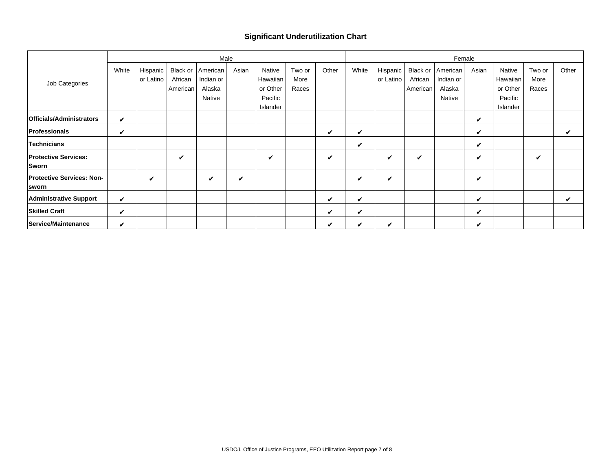#### **Significant Underutilization Chart**

|                                                  | Male                       |                       |                     |                                                    |       |                                                       |                         |                    |       | Female                  |                                 |                                           |              |                                                       |                         |       |  |  |  |
|--------------------------------------------------|----------------------------|-----------------------|---------------------|----------------------------------------------------|-------|-------------------------------------------------------|-------------------------|--------------------|-------|-------------------------|---------------------------------|-------------------------------------------|--------------|-------------------------------------------------------|-------------------------|-------|--|--|--|
| Job Categories                                   | White                      | Hispanic<br>or Latino | African<br>American | Black or American<br>Indian or<br>Alaska<br>Native | Asian | Native<br>Hawaiian<br>or Other<br>Pacific<br>Islander | Two or<br>More<br>Races | Other              | White | Hispanic  <br>or Latino | Black or<br>African<br>American | American<br>Indian or<br>Alaska<br>Native | Asian        | Native<br>Hawaiian<br>or Other<br>Pacific<br>Islander | Two or<br>More<br>Races | Other |  |  |  |
| Officials/Administrators                         | $\checkmark$               |                       |                     |                                                    |       |                                                       |                         |                    |       |                         |                                 |                                           | ✓            |                                                       |                         |       |  |  |  |
| Professionals                                    | $\checkmark$               |                       |                     |                                                    |       |                                                       |                         | ✓                  | V     |                         |                                 |                                           | V            |                                                       |                         | V     |  |  |  |
| Technicians                                      |                            |                       |                     |                                                    |       |                                                       |                         |                    | ✓     |                         |                                 |                                           | ✓            |                                                       |                         |       |  |  |  |
| <b>Protective Services:</b><br>Sworn             |                            |                       | ✓                   |                                                    |       | ✓                                                     |                         | V                  |       | V                       | $\checkmark$                    |                                           | $\checkmark$ |                                                       | V                       |       |  |  |  |
| <b>Protective Services: Non-</b><br><b>Sworn</b> |                            | $\checkmark$          |                     | $\boldsymbol{\mathcal{U}}$                         | ✓     |                                                       |                         |                    | V     | V                       |                                 |                                           | V            |                                                       |                         |       |  |  |  |
| Administrative Support                           | $\checkmark$               |                       |                     |                                                    |       |                                                       |                         | ✓                  | ✓     |                         |                                 |                                           | ✓            |                                                       |                         | ✓     |  |  |  |
| <b>Skilled Craft</b>                             | V                          |                       |                     |                                                    |       |                                                       |                         | $\boldsymbol{\nu}$ | ✓     |                         |                                 |                                           | ✓            |                                                       |                         |       |  |  |  |
| Service/Maintenance                              | $\boldsymbol{\mathcal{U}}$ |                       |                     |                                                    |       |                                                       |                         | $\checkmark$       | ✓     | ✔                       |                                 |                                           | ✓            |                                                       |                         |       |  |  |  |